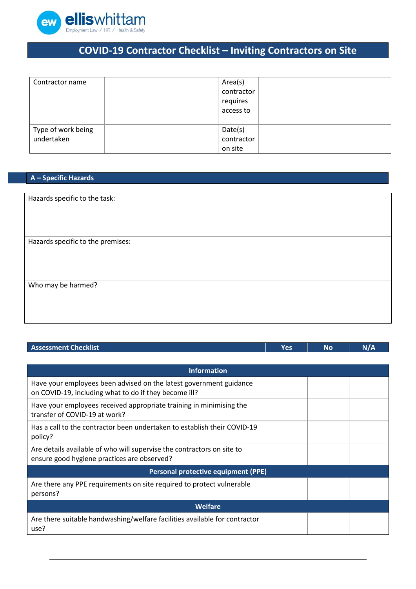

## **COVID-19 Contractor Checklist – Inviting Contractors on Site**

| Contractor name                  | Area(s)<br>contractor<br>requires<br>access to |
|----------------------------------|------------------------------------------------|
| Type of work being<br>undertaken | Date(s)<br>contractor<br>on site               |

## **A – Specific Hazards**

| Hazards specific to the task:     |
|-----------------------------------|
|                                   |
|                                   |
|                                   |
|                                   |
| Hazards specific to the premises: |
|                                   |
|                                   |
|                                   |
|                                   |
| Who may be harmed?                |
|                                   |
|                                   |
|                                   |
|                                   |

## **Assessment Checklist Yes No N/A**

| <b>Information</b>                                                                                                          |  |  |  |  |  |
|-----------------------------------------------------------------------------------------------------------------------------|--|--|--|--|--|
| Have your employees been advised on the latest government guidance<br>on COVID-19, including what to do if they become ill? |  |  |  |  |  |
| Have your employees received appropriate training in minimising the<br>transfer of COVID-19 at work?                        |  |  |  |  |  |
| Has a call to the contractor been undertaken to establish their COVID-19<br>policy?                                         |  |  |  |  |  |
| Are details available of who will supervise the contractors on site to<br>ensure good hygiene practices are observed?       |  |  |  |  |  |
| Personal protective equipment (PPE)                                                                                         |  |  |  |  |  |
| Are there any PPE requirements on site required to protect vulnerable<br>persons?                                           |  |  |  |  |  |
| Welfare                                                                                                                     |  |  |  |  |  |
| Are there suitable handwashing/welfare facilities available for contractor<br>use?                                          |  |  |  |  |  |